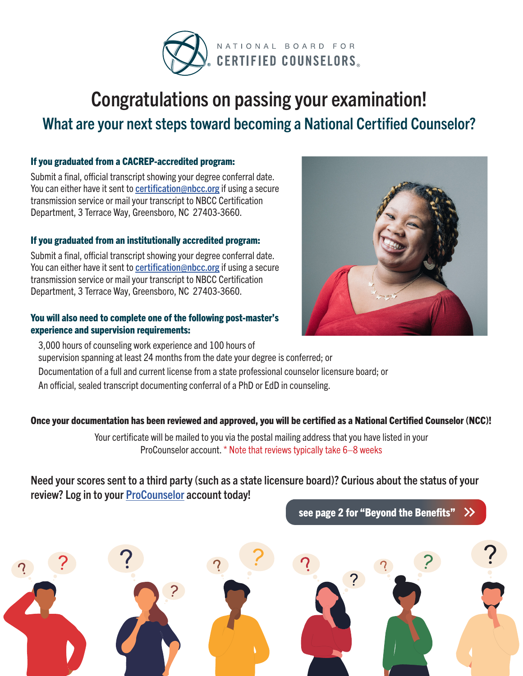

# Congratulations on passing your examination! What are your next steps toward becoming a National Certified Counselor?

#### If you graduated from a CACREP-accredited program:

Submit a final, official transcript showing your degree conferral date. You can either have it sent to [certification@nbcc.org](mailto:certification@nbcc.org) if using a secure transmission service or mail your transcript to NBCC Certification Department, 3 Terrace Way, Greensboro, NC 27403-3660.

#### If you graduated from an institutionally accredited program:

Submit a final, official transcript showing your degree conferral date. You can either have it sent to [certification@nbcc.org](mailto:certification@nbcc.org) if using a secure transmission service or mail your transcript to NBCC Certification Department, 3 Terrace Way, Greensboro, NC 27403-3660.

#### You will also need to complete one of the following post-master's experience and supervision requirements:



3,000 hours of counseling work experience and 100 hours of supervision spanning at least 24 months from the date your degree is conferred; or Documentation of a full and current license from a state professional counselor licensure board; or An official, sealed transcript documenting conferral of a PhD or EdD in counseling.

#### Once your documentation has been reviewed and approved, you will be certified as a National Certified Counselor (NCC)!

Your certificate will be mailed to you via the postal mailing address that you have listed in your ProCounselor account. \* Note that reviews typically take 6–8 weeks

### Need your scores sent to a third party (such as a state licensure board)? Curious about the status of your review? Log in to your [ProCounselor](https://onlineservices.nbcc.org/eweb/DynamicPage.aspx?WebCode=LoginRequired&expires=yes&Site=NBCC) account today!

[see page 2 for "Beyond the Benefits"](#page-1-0)